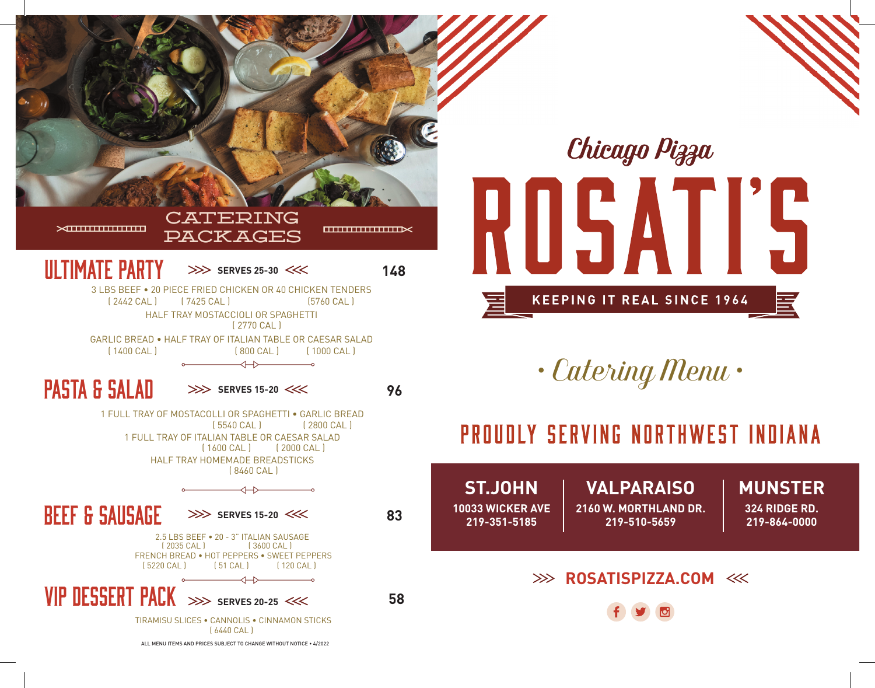

# Chicago Pizza **TIS** U5/ A | **KEEPING IT REAL SINCE 1964** 疐

*• Catering Menu •*

## PROUDLY SERVING NORTHWEST INDIANA

**ST.JOHN 10033 WICKER AVE 219-351-5185**

#### **VALPARAISO 2160 W. MORTHLAND DR.**

**219-510-5659**

**MUNSTER**

**324 RIDGE RD. 219-864-0000**

## **EXAMPLE 20 ROSATISPIZZA.COM**